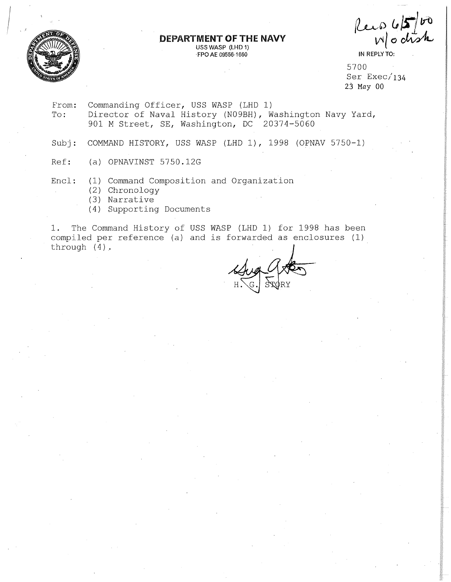

# **DEPARTMENT OF THE NAVY**

**USS WASP (LHD 1) ·FPO AE** 09556-1660

 $l_{\text{u}}$ ,  $\omega$   $\mathcal{F}$   $\mathcal{F}$  $W$ o chsk

**IN REPLY TO:** 

5700 Ser Exec/ **134**  23 May **00** 

- From:<br>To: Commanding Officer, USS WASP (LHD 1) Director of Naval History (N09BH), Washington Navy Yard, 901 M Street, SE, Washington, DC 20374-5060
- Subj: COMMAND HISTORY, USS WASP (LHD 1), 1998 (OPNAV 5750-1)
- Ref: (a) OPNAVINST 5750.12G
- Encl: (1) Command Composition and Organization
	- (2) Chronology
	- (3) Narrative
	- (4) Supporting Documents

1. The Command History of USS WASP (LHD 1) for 1998 has been compiled per reference (a) and is forwarded as enclosures (1) through (4).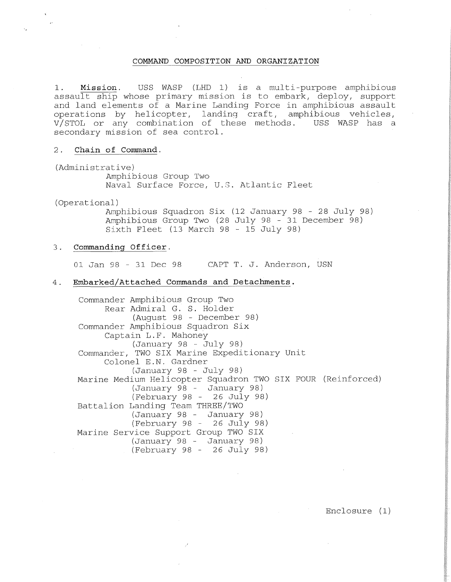### **COMMAND COMPOSITION AND ORGANIZATION**

1. **Mission.** USS WASP (LHD 1) is a multi-purpose amphibious assault ship whose primary mission is to embark, deploy, support and land elements of a Marine Landing Force in amphibious assault operations by helicopter, landing craft, amphibious vehicles,<br>V/STOL or any combination of these methods. USS WASP has a  $V/STOL$  or any combination of these methods. secondary mission of sea control.

#### 2. **Chain of Command.**

(Administrative) Amphibious Group Two Naval Surface Force, U.S. Atlantic Fleet

(Operational)

Amphibious Squadron Six (12 January 98 - 28 July 98) Amphibious Group Two (28 July 98 - 31 December 98) Sixth Fleet (13 March 98 - 15 July 98)

#### 3. **Commanding Officer.**

01 Jan 98 - 31 Dec 98 CAPT T. J. Anderson, USN

#### 4. **Embarked/Attached Commands and Detachments.**

Commander Amphibious Group Two Rear Admiral G. S. Holder (August 98 - December 98) Commander Amphibious Squadron Six Captain L.F. Mahoney (January 98 - July 98) Commander, TWO SIX Marine Expeditionary Unit Colonel E.N. Gardner (January 98 - July 98) Marine Medium Helicopter Squadron TWO SIX FOUR (Reinforced) (January 98 - January 98) (February 98 - 26 July 98) Battalion Landing Team THREE/TWO (January 98 - January 98)  $(February 98 - 26 Ju1y 98)$ Marine Service Support Group TWO SIX (January 98 - January 98) (February 98 - 26 July 98)

Enclosure (1)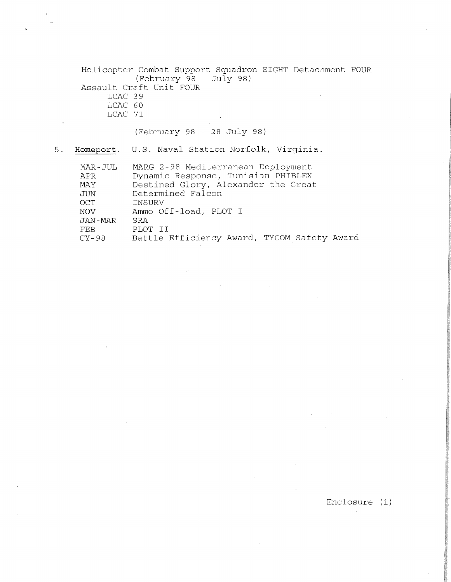Helicopter Combat Support Squadron EIGHT Detachment FOUR  $(February \stackrel{\sim}{98} - July 98)$ Assault Craft Unit FOUR LCAC 39 LCAC 60 LCAC 71

(February 98 - 28 July 98)

5. **Homeport.** U.S. Naval Station Norfolk, Virginia.

| MAR-JUL    | MARG 2-98 Mediterranean Deployment          |
|------------|---------------------------------------------|
| APR        | Dynamic Response, Tunisian PHIBLEX          |
| MAY        | Destined Glory, Alexander the Great         |
| JUN        | Determined Falcon                           |
| OCT        | INSURV                                      |
| <b>NOV</b> | Ammo Off-load, PLOT I                       |
| JAN-MAR    | SRA                                         |
| FEB        | PLOT II                                     |
| $CY-98$    | Battle Efficiency Award, TYCOM Safety Award |

Enclosure (1)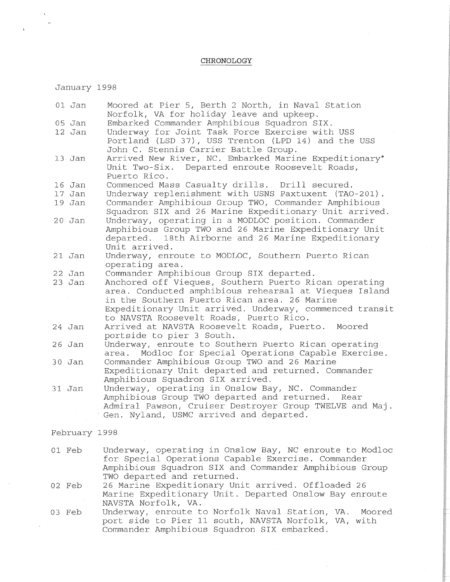# **CHRON.OLOGY**

January 1998

 $\mathbf{r}$ 

| 01 Jan        | Moored at Pier 5, Berth 2 North, in Naval Station<br>Norfolk, VA for holiday leave and upkeep.     |
|---------------|----------------------------------------------------------------------------------------------------|
| $05$ Jan      | Embarked Commander Amphibious Squadron SIX.                                                        |
| 12 Jan        | Underway for Joint Task Force Exercise with USS                                                    |
|               | Portland (LSD 37), USS Trenton (LPD 14) and the USS                                                |
|               | John C. Stennis Carrier Battle Group.                                                              |
| $13$ Jan      | Arrived New River, NC. Embarked Marine Expeditionary'                                              |
|               | Departed enroute Roosevelt Roads,<br>Unit Two-Six.                                                 |
|               | Puerto Rico.                                                                                       |
| 16 Jan        | Commenced Mass Casualty drills. Drill secured.                                                     |
| 17 Jan        | Underway replenishment with USNS Paxtuxent (TAO-201).                                              |
| 19 Jan        | Commander Amphibious Group TWO, Commander Amphibious                                               |
|               | Squadron SIX and 26 Marine Expeditionary Unit arrived.                                             |
|               |                                                                                                    |
| $20$ Jan      | Underway, operating in a MODLOC position. Commander                                                |
|               | Amphibious Group TWO and 26 Marine Expeditionary Unit                                              |
|               | departed. 18th Airborne and 26 Marine Expeditionary                                                |
|               | Unit arrived.                                                                                      |
| $21$ Jan      | Underway, enroute to MODLOC, Southern Puerto Rican                                                 |
|               | operating area.                                                                                    |
| 22 Jan        | Commander Amphibious Group SIX departed.                                                           |
| $23$ Jan      | Anchored off Vieques, Southern Puerto Rican operating                                              |
|               | area. Conducted amphibious rehearsal at Vieques Island                                             |
|               | in the Southern Puerto Rican area. 26 Marine                                                       |
|               | Expeditionary Unit arrived. Underway, commenced transit                                            |
|               | to NAVSTA Roosevelt Roads, Puerto Rico.                                                            |
| 24 Jan        | Arrived at NAVSTA Roosevelt Roads, Puerto. Moored                                                  |
|               | portside to pier 3 South.                                                                          |
| $26$ Jan      | Underway, enroute to Southern Puerto Rican operating                                               |
|               | Modloc for Special Operations Capable Exercise.<br>area.                                           |
| 30 Jan        | Commander Amphibious Group TWO and 26 Marine                                                       |
|               | Expeditionary Unit departed and returned. Commander                                                |
|               | Amphibious Squadron SIX arrived.                                                                   |
| 31 Jan        | Underway, operating in Onslow Bay, NC. Commander                                                   |
|               | Amphibious Group TWO departed and returned. Rear                                                   |
|               | Admiral Pawson, Cruiser Destroyer Group TWELVE and Maj.<br>Gen. Nyland, USMC arrived and departed. |
|               |                                                                                                    |
| February 1998 |                                                                                                    |
|               |                                                                                                    |
| 01 Feb        | Underway, operating in Onslow Bay, NC enroute to Modloc                                            |
|               | for Special Operations Capable Exercise. Commander                                                 |
|               | Amphibious Squadron SIX and Commander Amphibious Group                                             |
|               | TWO departed and returned.                                                                         |
| 02 Feb        | 26 Marine Expeditionary Unit arrived. Offloaded 26                                                 |
|               | Marine Expeditionary Unit. Departed Onslow Bay enroute                                             |
|               | NAVSTA Norfolk, VA.                                                                                |
| 03 Feb        | Underway, enroute to Norfolk Naval Station, VA.<br>Moored                                          |
|               | port side to Pier 11 south, NAVSTA Norfolk, VA, with                                               |
|               | Commander Amphibious Squadron SIX embarked.                                                        |
|               |                                                                                                    |

 $\sim$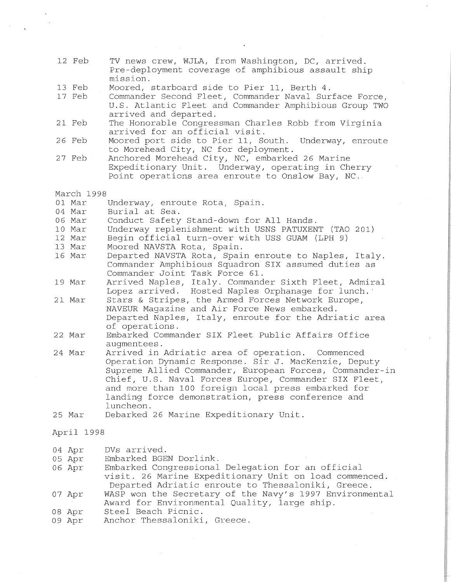- 12 Feb TV news crew, WJLA, from Washington, DC, arrived. Pre-deployment coverage of amphibious assault ship mission.
- 13 Feb Moored, starboard side to Pier 11, Berth 4.
- 17 Feb Commander Second Fleet, Commander Naval Surface Force, U.S. Atlantic Fleet and Commander Amphibious Group TWO arrived and departed.
- 21 Feb The Honorable Congressman Charles Robb from Virginia arrived for an official visit.
- 26 Feb Moored port side to Pier 11, South. Underway, enroute to Morehead City, NC for deployment.
- 27 Feb Anchored Morehead City, NC, embarked 26 Marine Expeditionary Unit. Underway, operating in Cherry Point operations area enroute to Onslow Bay, NC.
- March 1998
- 01 Mar Underway, enroute Rota, Spain.
- 04 Mar Burial at Sea.
- 06 Mar Conduct Safety Stand-down for All Hands.
- 10 Mar Underway replenishment with USNS PATUXENT (TAO 201)
- 12 Mar Begin official turn-over with USS GUAM (LPH 9)
- 13 Mar Moored NAVSTA Rota, Spain.
- 16 Mar Departed NAVSTA Rota, Spain enroute to Naples, Italy. Commander Amphibious Squadron SIX assumed duties as Commander Joint Task Force 61.
- 19 Mar Arrived Naples, Italy. Commander Sixth Fleet, Admiral Lopez arrived. Hosted Naples Orphanage for lunch.
- 21 Mar Stars & Stripes, the Armed Forces Network Europe, NAVEUR Magazine and Air Force News embarked. Departed Naples, Italy, enroute for the Adriatic area of operations.
- 22 Mar Embarked Commander SIX Fleet Public Affairs Office augmentees.
- 24 Mar Arrived in Adriatic area of operation. Commenced Operation Dynamic Response. Sir J. MacKenzie, Deputy Supreme Allied Commander, European Forces, Commander-in Chief, U.S. Naval Forces Europe, Commander SIX Fleet, and more than 100 foreign local press embarked for landing force demonstration, press conference and luncheon.
- 25 Mar Debarked 26 Marine Expeditionary Unit.

#### April 1998

- 04 Apr DVs arrived.
- 05 Apr Embarked BGEN Dorlink.
- 06 Apr Embarked Congressional Delegation for an official visit. 26 Marine Expeditionary Unit on load commenced. Departed Adriatic enroute to Thessaloniki, Greece.
- 07 Apr WASP won the Secretary of the Navy's 1997 Environmental Award for Environmental Quality, large ship.
- 08 Apr Steel Beach Picnic.
- 09 Apr Anchor Thessaloniki, Greece.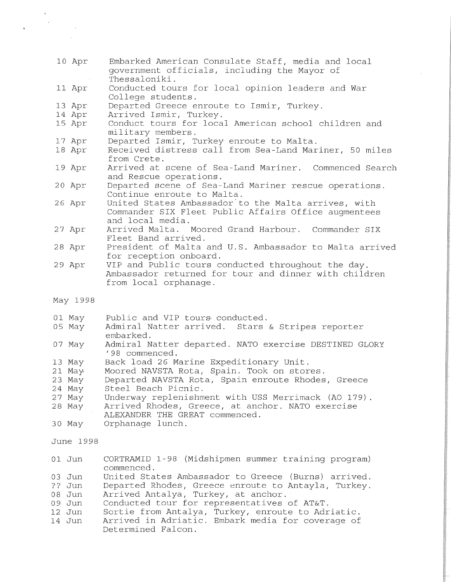- 10 Apr Embarked American Consulate Staff, media and local government officials, including the Mayor of Thessaloniki.
- 11 Apr Conducted tours for local opinion leaders and War College students.
- 13 Apr Departed Greece enroute to Ismir, Turkey.
- 14 Apr Arrived Ismir, Turkey.
- 15 Apr Conduct tours for local American school children and military members.
- 17 Apr Departed Ismir, Turkey enroute to Malta.
- 18 Apr Received distress call from Sea-Land Mariner, 50 miles from Crete.
- 19 Apr Arrived at scene of Sea-Land Mariner. Commenced Search and Rescue operations.
- 20 Apr Departed scene of Sea-Land Mariner rescue operations. Continue enroute to Malta.
- 26 Apr United States Ambassador to the Malta arrives, with Commander SIX Fleet Public Affairs Off.ice augmentees and local media.
- 27 Apr Arrived Malta. Moored Grand Harbour. Commander SIX Fleet Band arrived.
- 28 Apr President of Malta and U.S. Ambassador to Malta arrived for reception onboard.
- 29 Apr VIP and Public tours conducted throughout the day. Ambassador returned for tour and dinner with children from local orphanage.
- May 1998
- 01 May Public and VIP tours· conducted.
- 05 May Admiral Natter arrived. Stars & Stripes reporter embarked.
- 07 May Admiral Natter departed. NATO exercise DESTINED GLORY '98 commenced.
- 13 May Back load 26 Marine Expeditionary Unit.
- 21 May. Moored NAVSTA Rota, Spain. Took on stores.
- 23 May Departed NAVSTA Rota, Spain enroute Rhodes, Greece
- 24 May Steel Beach Picnic.
- 27 May Underway replenishment with USS Merrimack (AO 179)
- 28 May Arrived Rhodes, Greece, at anchor. NATO exercise ALEXANDER THE GREAT commenced.
- 30 May Orphanage lunch.

June 1998

- 01 Jun CORTRAMID 1-98 (Midshipmen summer training program) commenced.
- 03 Jun United States Ambassador to Greece (Burns) arrived.
- ?? Jun Departed Rhodes, Greece enroute to Antayla, Turkey.
- 08 Jun Arrived Antalya, Turkey, at anchor.
- 09 Jun Conducted tour for representatives of AT&T.
- 12 Jun Sortie from Antalya, Turkey, enroute to Adriatic.
- 14 Jun Arrived in Adriatic. Embark media for coverage of Determined Falcon.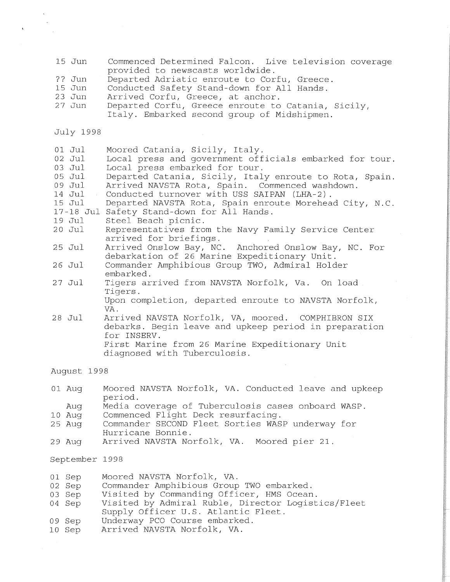- 15 Jun ?? Jun 15 Jun 23 Jun 27 Jun July 1998 01 Jul 02 Jul 03 Jul 05 Jul 09 Jul 14 Jul 15 Jul 17-18 Jul Safety Stand-down for All Hands. 19 Jul 20 Jul 25 Jul 26 Jul 27 Jul 28 Jul Commenced Determined Falcon. Live television coverage provided to newscasts worldwide. Departed Adriatic enroute to Corfu, Greece. Conducted Safety Stand-down for All Hands. Arrived Corfu, Greece, at anchor. Departed Corfu, Greece enroute to Catania, Sicily, Italy. Embarked second group of Midshipmen. Moored Catania, Sicily, Italy. Local press and government officials embarked for tour. Local press embarked for tour. Departed Catania, Sicily, Italy enroute to Rota, Spain. Arrived NAVSTA Rota, Spain. Commenced washdown. Conducted turnover with USS SAIPAN (LHA-2) . Departed NAVSTA Rota, Spain enroute Morehead City, N.C. Steel Beach picnic. Representatives from the Navy Family Service Center arrived for briefings. Arrived Onslow Bay, NC. Anchored Onslow Bay, NC. For debarkation of 26 Marine Expeditionary Unit. Commander Amphibious Group TWO, Admiral Holder embarked. Tigers arrived from NAVSTA Norfolk, Va. On load Tigers. Upon completion, departed enroute to NAVSTA Norfolk, VA. Arrived NAVSTA Norfolk, VA, moored. COMPHIBRON SIX debarks. Begin leave and upkeep period in preparation for INSERV. First Marine from 26 Marine Expeditionary Unit diagnosed with Tuberculosis. August 1998
- 01 Aug Moored NAVSTA Norfolk, VA. Conducted leave and upkeep period.
- Aug Media coverage of Tuberculosis cases onboard WASP.
- 10 Aug Commenced Flight Deck resurfacing.<br>25 Aug Commander SECOND Fleet Sorties WAS
- Commander SECOND Fleet Sorties WASP underway for Hurricane Bonnie.
- 29 Aug Arrived NAVSTA Norfolk, VA. Moored pier 21.

September 1998

- 01 Sep Moored NAVSTA Norfolk, VA.
- 02 Sep Commander Amphibious Group TWO embarked.
- 03 Sep Visited by Commanding Officer, HMS Ocean.
- 04 Sep Visited by Admiral Ruble, Director Logistics/Fleet Supply Officer U.S. Atlantic Fleet.
- 09 Sep Underway PCO Course embarked.
- 10 Sep Arrived NAVSTA Norfolk, VA.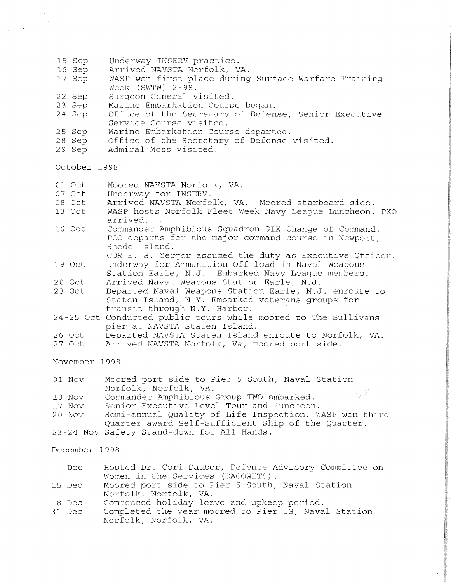- 15 Sep Underway INSERV practice.
- 16 Sep Arrived NAVSTA Norfolk, VA.
- 17 Sep WASP won first place during Surface Warfare Training Week (SWTW) 2-98.
- 22 Sep Surgeon General visited.
- 23 Sep Marine Embarkation Course began.
- 24 Sep Office of the Secretary of Defense, Senior Executive Service Course visited.
- 25 Sep Marine Embarkation Course departed.
- 28 Sep Office of the Secretary of Defense visited.
- 29 Sep Admiral Moss visited.

October 1998

- 01 Oct Moored NAVSTA Norfolk, VA.<br>07 Oct Underway for INSERV.
- 07 Oct Underway for INSERV.<br>08 Oct Arrived NAVSTA Norfo
- 08 Oct Arrived NAVSTA Norfolk, VA. Moored starboard side.<br>13 Oct WASP hosts Norfolk Fleet Week Navy League Luncheon.
- WASP hosts Norfolk Fleet Week Navy League Luncheon. PXO arrived.
- 16 Oct Commander Amphibious Squadron SIX Change of Command. PCO departs for the major command course in Newport, Rhode Island.
- CDR E. S. Yerger assumed the duty as Executive Officer. 19 Oct Underway for Ammunition Off load in Naval Weapons
- Station Earle, N.J. Embarked Navy League members. 20 Oct Arrived Naval Weapons Station Earle, N.J.
- Departed Naval Weapons Station Earle, N.J. enroute to Staten Island, N.Y. Embarked veterans groups for transit through N.Y. Harbor.
- 24 25 Oct Conducted public tours while moored to The Sullivans pier at NAVSTA Staten Island.
- 26 Oct Departed NAVSTA Staten Island enroute to Norfolk, VA.
- 27 Oct Arrived NAVSTA Norfolk, Va, moored port side.

November 1998

- 01 Nov Moored port side to Pier 5 South, Naval Station Norfolk, Norfolk, VA.
- 10 Nov Commander Amphibious Group TWO embarked.
- 17 Nov Senior Executive Level Tour and luncheon.
- 20 Nov Semi-annual Quality of Life Inspection. WASP won third Quarter award Self-Sufficient Ship of the Quarter.
- 23-24 Nov Safety Stand-down for All Hands.

December 1998

- Dec Hosted Dr. Cori Dauber, Defense Advisory Committee on Women in the Services (DACOWITS) .
- 15 Dec Moored port side to Pier 5 South, Naval Station Norfolk, Norfolk, VA.
- 18 Dec Commenced holiday leave and upkeep period.
- 31 Dec Completed the year moored to Pier 5S, Naval Station Norfolk, Norfolk, VA.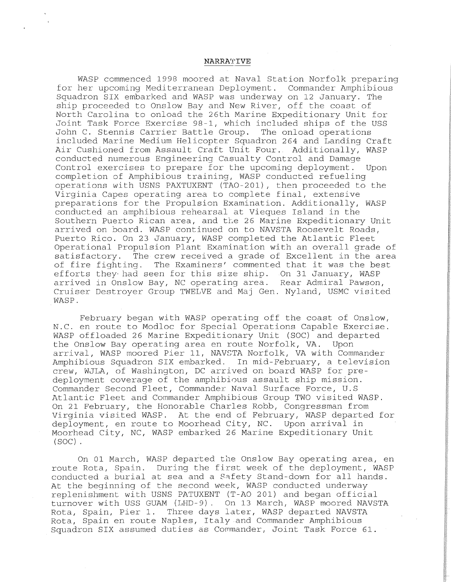## **NARRA'l'IVE**

WASP commenced 1998 moored at Naval Station Norfolk preparing for her upcoming Mediterranean Deployment. Commander Amphibious Squadron SIX embarked and WASP was underway on 12 January. The ship proceeded to Onslow Bay and New River, off the coast of North Carolina to onload the 26th Marine Expeditionary Unit for Joint Task Force Exercise 98-1, which included ships of the USS John C. Stennis Carrier Battle Group. The onload operations included Marine Medium Helicopter Squadron 264 and Landing Craft Air Cushioned from Assault Craft Unit Four. Additionally, WASP conducted numerous Engineering Casualty Control and Damage Control exercises to prepare for the upcoming deployment. Upon completion of Amphibious training, WASP conducted refueling operations with USNS PAXTUXENT (TA0-201), then proceeded to the Virginia Capes operating area to complete final, extensive preparations for the Propulsion Examination. Additionally, WASP conducted an amphibious rehearsal at Vieques Island in the Southern Puerto Rican area, and the 26 Marine Expeditionary Unit arrived on board. WASP continued on to NAVSTA Roosevelt Roads, Puerto Rico. On 23 January, WASP completed the Atlantic Fleet Operational Propulsion Plant Examination with an overall grade of satisfactory. The crew received a grade of Excellent in the area of fire fighting. The Examiners' commented that it was the best efforts they· had seen for this size ship. On 31 January, WASP arrived in Onslow Bay, NC operating area. Rear Admiral Pawson, Cruiser Destroyer Group TWELVE and Maj Gen. Nyland, USMC visited WASP.

February began with WASP operating off the coast of Onslow, N.C. en route to Modloc for Special Operations Capable Exercise. WASP offloaded 26 Marine Expeditionary Unit (SOC) and departed the Onslow Bay operating area en route Norfolk, VA. Upon arrival, WASP moored Pier 11, NAVSTA Norfolk, VA with Commander Amphibious Squadron SIX embarked. In mid-February, a television crew, WJLA, of Washington, DC arrived on board WASP for predeployment coverage of the amphibious assault ship mission. Commander Second Fleet, Commander Naval Surface Force, U.S Atlantic Fleet and Commander Amphibious Group TWO visited WASP. On 21 February, the Honorable Charles Robb, Congressman from Virginia visited WASP. At the end of February, WASP departed for deployment, en route to Moorhead City, NC. Upon arrival in Moorhead City, NC, WASP embarked 26 Marine Expeditionary Unit (SOC) .

On 01 March, WASP departed the Onslow Bay operating area, en route Rota, Spain. During the first week of the deployment, WASP conducted a burial at sea and a Safety Stand-down for all hands. At the beginning of the second week, WASP conducted underway replenishment with USNS PATUXENT (T-AO 201) and began official turnover with USS GUAM (LHD-9). On 13 March, WASP moored NAVSTA Rota, Spain, Pier 1. Three days later, WASP departed NAVSTA Rota, Spain en route Naples, Italy and Commander Amphibious Squadron SIX assumed duties as Commander, Joint Task Force 61.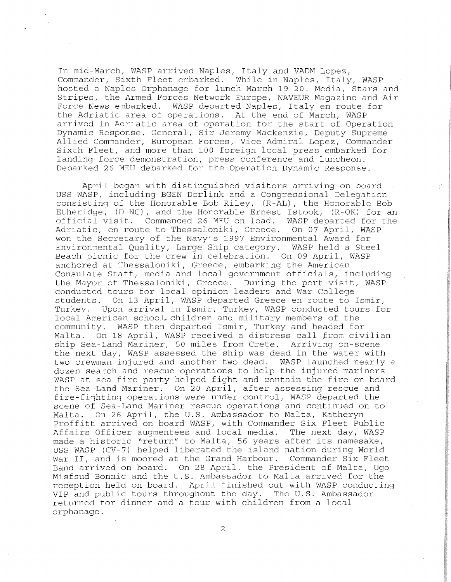In mid-March, WASP arrived Naples, Italy and VADM Lopez, Commander, Sixth Fleet embarked. While in Naples, Italy, WASP hosted a Naples Orphanage for lunch March 19-20. Media, Stars and Stripes, the Armed Forces Network Europe, NAVEUR Magazine and Air Force News embarked. WASP departed Naples, Italy en route for the Adriatic area of operations. At the end of March, WASP arrived in Adriatic area of operation for the start of Operation Dynamic Response. General, Sir Jeremy Mackenzie, Deputy Supreme Allied Commander, European Forces, Vice Admiral Lopez, Commander Sixth Fleet, and more than 100 foreign local press embarked for landing force demonstration, press conference and luncheon. Debarked 26 MEU debarked for the Operation Dynamic Response.

April began with distinguished visitors arriving on board USS WASP, including BGEN Dorlink and a Congressional Delegation consisting of the Honorable Bob Riley, (R-AL), the Honorable Bob Etheridge, (D-NC), and the Honorable Ernest Istook, (R-OK) for an official visit. Commenced 26 MEU on load. WASP departed for the Adriatic, en route to Thessaloniki, Greece. On 07 April, WASP won the Secretary of the Navy's 1997 Environmental Award for Environmental Quality, Large Ship category. WASP held a Steel Beach picnic for the crew in celebration. On 09 April, WASP anchored at Thessaloniki, Greece, embarking the American Consulate Staff, media and local government officials, including the Mayor of Thessaloniki, Greece. During the port visit, WASP conducted tours for local opinion leaders and War College students. On 13 April, WASP departed Greece en route to Ismir, Turkey. Upon arrival in Ismir, Turkey, WASP conducted tours for local American school. children and military members of the community. WASP then departed Ismir, Turkey and headed for Malta. On 18 April, WASP received a distress call from civilian ship Sea-Land Mariner, 50 miles from Crete. Arriving on-scene the next day, WASP assessed the ship was dead in the water with two crewman injured and another two dead. WASP launched nearly a dozen search and rescue operations to help the injured mariners WASP at sea fire party helped fight and contain the fire on board the Sea-Land Mariner. On 20 April, after assessing rescue and fire-fighting operations were under control, WASP departed the scene of Sea-Land Mariner rescue operations and continued on to Malta. On 26 April, the U.S. Ambassador to Malta, Katheryn Proffitt arrived on board WASP, with Commander Six Fleet Public Affairs Officer augmentees and local media. The next day, WASP made a historic "return" to Malta, 56 years after its namesake, USS WASP (CV-7) helped liberated the island nation during World War II, and is moored at the Grand Harbour. Commander Six Fleet Band arrived on board. On 28 April, the President of Malta, Ugo Misfsud Bonnie and the U.S. Ambassador to Malta arrived for the reception held on board. April finished out with WASP conducting VIP and public tours throughout the day. The U.S. Ambassador returned for dinner and a tour with children from a local orphanage.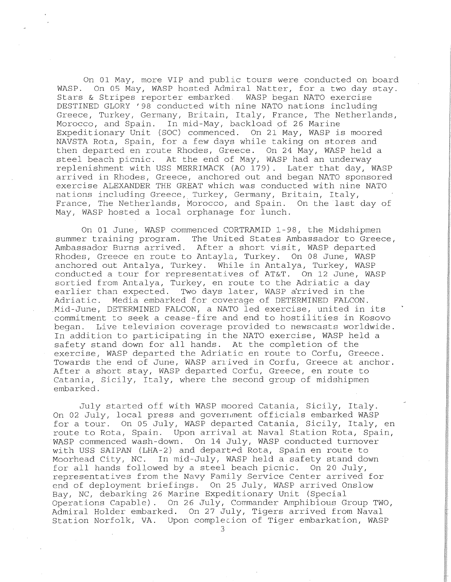On 01 May, more VIP and public tours were conducted on board<br>WASP. On 05 May, WASP hosted Admiral Natter, for a two day stay. On 05 May, WASP hosted Admiral Natter, for a two day stay.<br>& Stripes reporter embarked. WASP began NATO exercise Stars & Stripes reporter embarked. DESTINED GLORY '98 conducted with nine NATO nations including Greece, Turkey, Germany, Britain, Italy, France, The Netherlands, Morocco, and Spain. In mid-May, backload of 26 Marine Expeditionary Unit (SOC) commenced. On 21 May, WASP is moored NAVSTA Rota, Spain, for a few days while taking on stores and then departed en route Rhodes, Greece. On 24 May, WASP held a steel beach picnic. At the end of May, WASP had an underway replenishment with USS MERRIMACK (AO 179). Later that day, WASP arrived in Rhodes, Greece, anchored out and began NATO sponsored exercise ALEXANDER THE GREAT which was conducted with nine NATO nations including Greece, Turkey, Germany, Britain, Italy, France, The Netherlands, Morocco, and Spain. On the last day of May, WASP hosted a local orphanage for lunch.

On 01 June, WASP commenced CORTRAMID 1-98, the Midshipmen summer training program. The United States Ambassador to Greece, Ambassador Burns arrived. After a short visit, WASP departed Rhodes, Greece en route to Antayla, Turkey. On 08 June, WASP anchored out Antalya, Turkey. While in Antalya, Turkey, WASP conducted a tour for representatives of AT&T. On 12 June, WASP sortied from Antalya, Turkey, en route to the Adriatic a day earlier than expected. Two days later, WASP arrived in the Adriatic. Media embarked for coverage of DETERMINED FALCON. Mid-June, DETERMINED FALCON, a NATO led exercise, united in its commitment to seek a cease-fire and end to hostilities in Kosovo Live television coverage provided to newscasts worldwide. In addition to participating in the NATO exercise, WASP held a safety stand down for all hands. At the completion of the exercise, WASP departed the Adriatic en route to Corfu, Greece. Towards the end of June, WASP arrived in Corfu, Greece at anchor. After a short stay, WASP departed Corfu, Greece, en route to Catania, Sicily, Italy, where the second group of midshipmen embarked.

July started off with WASP moored Catania, Sicily, Italy. On 02 July, local press and government officials embarked WASP for a tour. On 05 July, WASP departed Catania, Sicily, Italy, en route to Rota, Spain. Upon arrival at Naval Station Rota, Spain, WASP commenced wash-down. On 14 July, WASP conducted turnover with USS SAIPAN (LHA-2) and departed Rota, Spain en route to Moorhead City, NC. In mid-July, WASP held a safety stand down for all hands followed by a steel beach picnic. On 20 July, representatives from the Navy Family Service Center arrived for end of deployment briefings. On 25 July, WASP arrived Onslow Bay, NC, debarking 26 Marine Expeditionary Unit (Special Operations Capable) . On 26 July, Commander Amphibious Group TWO, Admiral Holder embarked. On 27 July, Tigers arrived from Naval Station Norfolk, VA. Upon complecion of Tiger embarkation, WASP

3